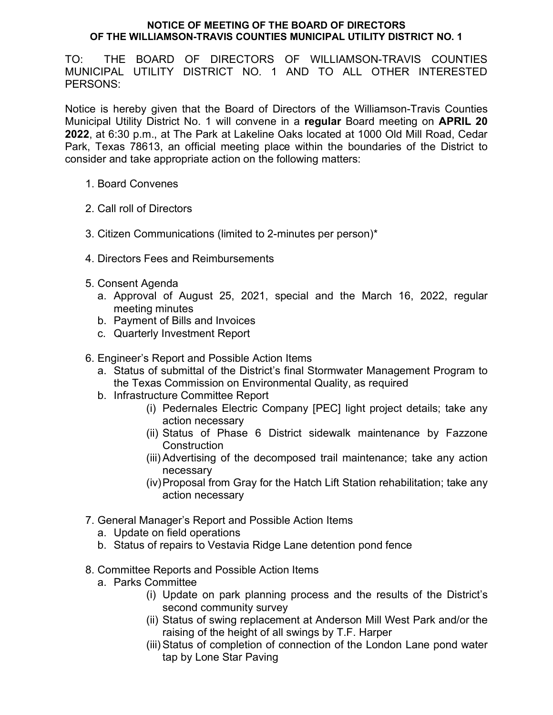## **NOTICE OF MEETING OF THE BOARD OF DIRECTORS OF THE WILLIAMSON-TRAVIS COUNTIES MUNICIPAL UTILITY DISTRICT NO. 1**

TO: THE BOARD OF DIRECTORS OF WILLIAMSON-TRAVIS COUNTIES MUNICIPAL UTILITY DISTRICT NO. 1 AND TO ALL OTHER INTERESTED PERSONS:

Notice is hereby given that the Board of Directors of the Williamson-Travis Counties Municipal Utility District No. 1 will convene in a **regular** Board meeting on **APRIL 20 2022**, at 6:30 p.m., at The Park at Lakeline Oaks located at 1000 Old Mill Road, Cedar Park, Texas 78613, an official meeting place within the boundaries of the District to consider and take appropriate action on the following matters:

- 1. Board Convenes
- 2. Call roll of Directors
- 3. Citizen Communications (limited to 2-minutes per person)\*
- 4. Directors Fees and Reimbursements
- 5. Consent Agenda
	- a. Approval of August 25, 2021, special and the March 16, 2022, regular meeting minutes
	- b. Payment of Bills and Invoices
	- c. Quarterly Investment Report
- 6. Engineer's Report and Possible Action Items
	- a. Status of submittal of the District's final Stormwater Management Program to the Texas Commission on Environmental Quality, as required
	- b. Infrastructure Committee Report
		- (i) Pedernales Electric Company [PEC] light project details; take any action necessary
		- (ii) Status of Phase 6 District sidewalk maintenance by Fazzone **Construction**
		- (iii) Advertising of the decomposed trail maintenance; take any action necessary
		- (iv)Proposal from Gray for the Hatch Lift Station rehabilitation; take any action necessary
- 7. General Manager's Report and Possible Action Items
	- a. Update on field operations
	- b. Status of repairs to Vestavia Ridge Lane detention pond fence
- 8. Committee Reports and Possible Action Items
	- a. Parks Committee
		- (i) Update on park planning process and the results of the District's second community survey
		- (ii) Status of swing replacement at Anderson Mill West Park and/or the raising of the height of all swings by T.F. Harper
		- (iii) Status of completion of connection of the London Lane pond water tap by Lone Star Paving